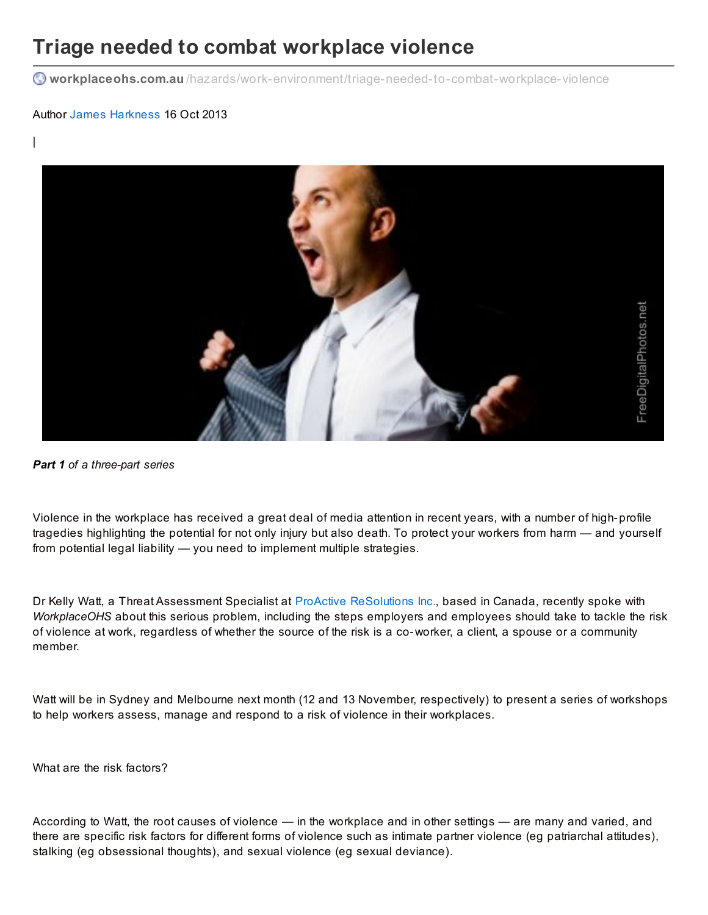## **Triage needed to combat workplace violence**

**workplaceohs.com.au** [/hazards/work-environment/triage-needed-to-combat-workplace-violence](http://www.workplaceohs.com.au/hazards/work-environment/triage-needed-to-combat-workplace-violence)

## Author James [Harkness](http://www.workplaceohs.com.au/analystdetail.asp?ID=46) 16 Oct 2013

|



*Part 1 of a three-part series*

Violence in the workplace has received a great deal of media attention in recent years, with a number of high-profile tragedies highlighting the potential for not only injury but also death. To protect your workers from harm — and yourself from potential legal liability — you need to implement multiple strategies.

Dr Kelly Watt, a Threat Assessment Specialist at ProActive [ReSolutions](http://www.proactive-resolutions.com) Inc., based in Canada, recently spoke with *WorkplaceOHS* about this serious problem, including the steps employers and employees should take to tackle the risk of violence at work, regardless of whether the source of the risk is a co-worker, a client, a spouse or a community member.

Watt will be in Sydney and Melbourne next month (12 and 13 November, respectively) to present a series of workshops to help workers assess, manage and respond to a risk of violence in their workplaces.

What are the risk factors?

According to Watt, the root causes of violence — in the workplace and in other settings — are many and varied, and there are specific risk factors for different forms of violence such as intimate partner violence (eg patriarchal attitudes), stalking (eg obsessional thoughts), and sexual violence (eg sexual deviance).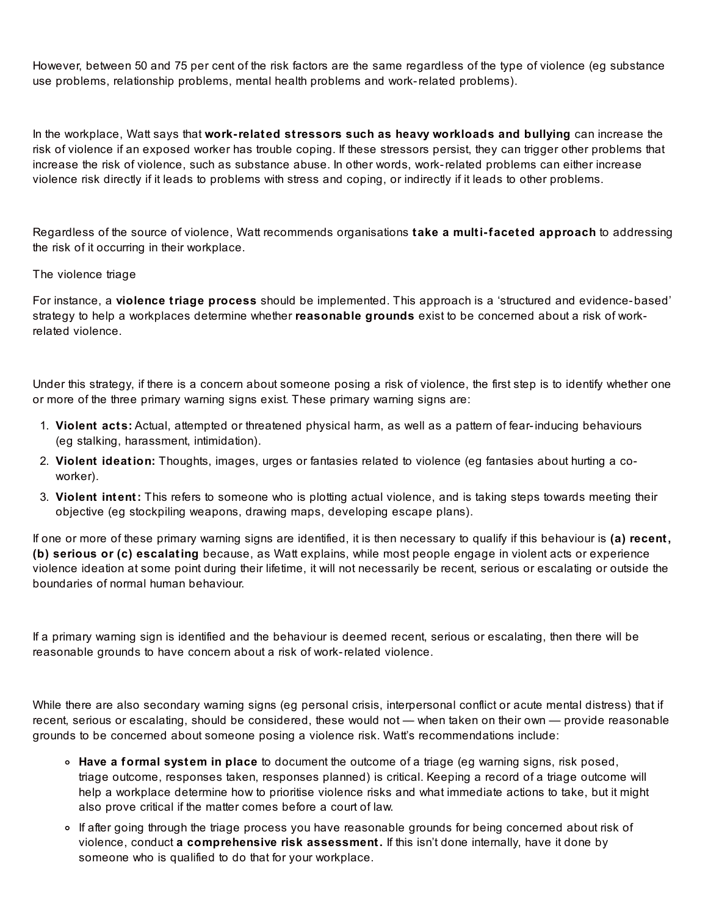However, between 50 and 75 per cent of the risk factors are the same regardless of the type of violence (eg substance use problems, relationship problems, mental health problems and work-related problems).

In the workplace, Watt says that **work-related stressors such as heavy workloads and bullying** can increase the risk of violence if an exposed worker has trouble coping. If these stressors persist, they can trigger other problems that increase the risk of violence, such as substance abuse. In other words, work-related problems can either increase violence risk directly if it leads to problems with stress and coping, or indirectly if it leads to other problems.

Regardless of the source of violence, Watt recommends organisations **take a multi-faceted approach** to addressing the risk of it occurring in their workplace.

## The violence triage

For instance, a **violence triage process** should be implemented. This approach is a 'structured and evidence-based' strategy to help a workplaces determine whether **reasonable grounds** exist to be concerned about a risk of workrelated violence.

Under this strategy, if there is a concern about someone posing a risk of violence, the first step is to identify whether one or more of the three primary warning signs exist. These primary warning signs are:

- 1. **Violent acts:** Actual, attempted or threatened physical harm, as well as a pattern of fear-inducing behaviours (eg stalking, harassment, intimidation).
- 2. **Violent ideation:** Thoughts, images, urges or fantasies related to violence (eg fantasies about hurting a coworker).
- 3. **Violent intent:** This refers to someone who is plotting actual violence, and is taking steps towards meeting their objective (eg stockpiling weapons, drawing maps, developing escape plans).

If one or more of these primary warning signs are identified, it is then necessary to qualify if this behaviour is **(a) recent, (b) serious or (c) escalating** because, as Watt explains, while most people engage in violent acts or experience violence ideation at some point during their lifetime, it will not necessarily be recent, serious or escalating or outside the boundaries of normal human behaviour.

If a primary warning sign is identified and the behaviour is deemed recent, serious or escalating, then there will be reasonable grounds to have concern about a risk of work-related violence.

While there are also secondary warning signs (eg personal crisis, interpersonal conflict or acute mental distress) that if recent, serious or escalating, should be considered, these would not — when taken on their own — provide reasonable grounds to be concerned about someone posing a violence risk. Watt's recommendations include:

- **Have a formal system in place** to document the outcome of a triage (eg warning signs, risk posed, triage outcome, responses taken, responses planned) is critical. Keeping a record of a triage outcome will help a workplace determine how to prioritise violence risks and what immediate actions to take, but it might also prove critical if the matter comes before a court of law.
- o If after going through the triage process you have reasonable grounds for being concerned about risk of violence, conduct **a comprehensive risk assessment.** If this isn't done internally, have it done by someone who is qualified to do that for your workplace.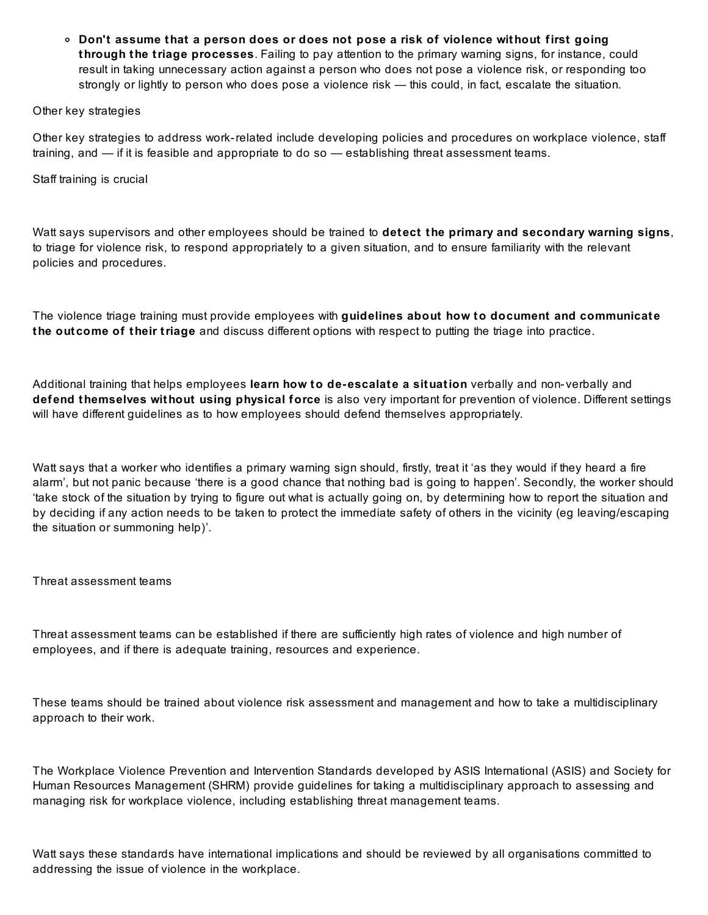**Don't assume that a person does or does not pose a risk of violence without first going through the triage processes**. Failing to pay attention to the primary warning signs, for instance, could result in taking unnecessary action against a person who does not pose a violence risk, or responding too strongly or lightly to person who does pose a violence risk — this could, in fact, escalate the situation.

## Other key strategies

Other key strategies to address work-related include developing policies and procedures on workplace violence, staff training, and — if it is feasible and appropriate to do so — establishing threat assessment teams.

Staff training is crucial

Watt says supervisors and other employees should be trained to **detect the primary and secondary warning signs**, to triage for violence risk, to respond appropriately to a given situation, and to ensure familiarity with the relevant policies and procedures.

The violence triage training must provide employees with **guidelines about how to document and communicate the outcome of their triage** and discuss different options with respect to putting the triage into practice.

Additional training that helps employees **learn how to de-escalate a situation** verbally and non- verbally and **defend themselves without using physical force** is also very important for prevention of violence. Different settings will have different guidelines as to how employees should defend themselves appropriately.

Watt says that a worker who identifies a primary warning sign should, firstly, treat it 'as they would if they heard a fire alarm', but not panic because 'there is a good chance that nothing bad is going to happen'. Secondly, the worker should 'take stock of the situation by trying to figure out what is actually going on, by determining how to report the situation and by deciding if any action needs to be taken to protect the immediate safety of others in the vicinity (eg leaving/escaping the situation or summoning help)'.

Threat assessment teams

Threat assessment teams can be established if there are sufficiently high rates of violence and high number of employees, and if there is adequate training, resources and experience.

These teams should be trained about violence risk assessment and management and how to take a multidisciplinary approach to their work.

The Workplace Violence Prevention and Intervention Standards developed by ASIS International (ASIS) and Society for Human Resources Management (SHRM) provide guidelines for taking a multidisciplinary approach to assessing and managing risk for workplace violence, including establishing threat management teams.

Watt says these standards have international implications and should be reviewed by all organisations committed to addressing the issue of violence in the workplace.